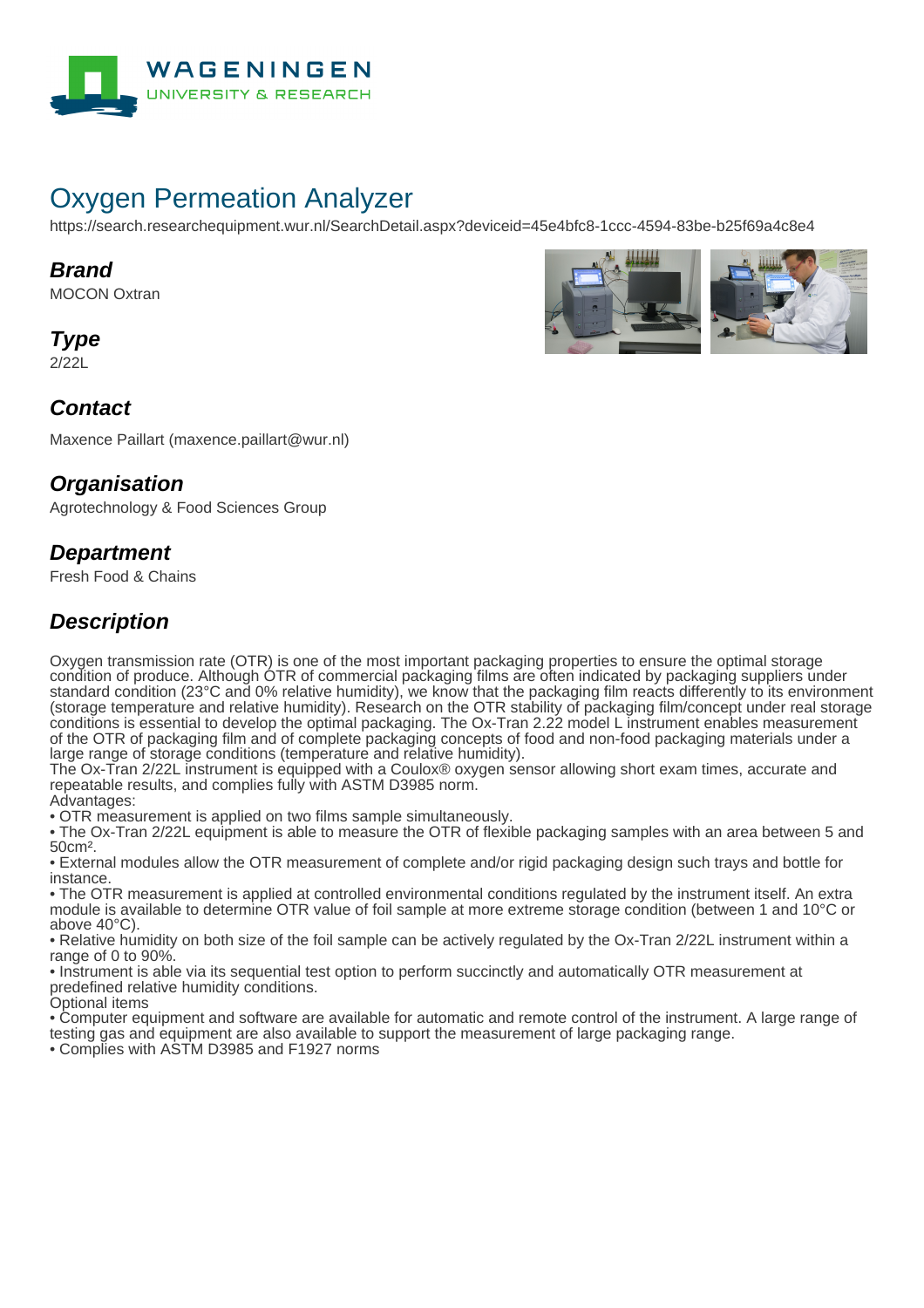

# Oxygen Permeation Analyzer

https://search.researchequipment.wur.nl/SearchDetail.aspx?deviceid=45e4bfc8-1ccc-4594-83be-b25f69a4c8e4

#### **Brand**

MOCON Oxtran

**Type**

2/22L



#### **Contact**

Maxence Paillart (maxence.paillart@wur.nl)

### **Organisation**

Agrotechnology & Food Sciences Group

### **Department**

Fresh Food & Chains

# **Description**

Oxygen transmission rate (OTR) is one of the most important packaging properties to ensure the optimal storage condition of produce. Although OTR of commercial packaging films are often indicated by packaging suppliers under standard condition (23°C and 0% relative humidity), we know that the packaging film reacts differently to its environment (storage temperature and relative humidity). Research on the OTR stability of packaging film/concept under real storage conditions is essential to develop the optimal packaging. The Ox-Tran 2.22 model L instrument enables measurement of the OTR of packaging film and of complete packaging concepts of food and non-food packaging materials under a large range of storage conditions (temperature and relative humidity).

The Ox-Tran 2/22L instrument is equipped with a Coulox® oxygen sensor allowing short exam times, accurate and repeatable results, and complies fully with ASTM D3985 norm.

Advantages: • OTR measurement is applied on two films sample simultaneously.

• The Ox-Tran 2/22L equipment is able to measure the OTR of flexible packaging samples with an area between 5 and 50cm².

• External modules allow the OTR measurement of complete and/or rigid packaging design such trays and bottle for instance.

• The OTR measurement is applied at controlled environmental conditions regulated by the instrument itself. An extra module is available to determine OTR value of foil sample at more extreme storage condition (between 1 and 10°C or above 40°C).

• Relative humidity on both size of the foil sample can be actively regulated by the Ox-Tran 2/22L instrument within a range of 0 to 90%.

• Instrument is able via its sequential test option to perform succinctly and automatically OTR measurement at predefined relative humidity conditions.

Optional items

• Computer equipment and software are available for automatic and remote control of the instrument. A large range of testing gas and equipment are also available to support the measurement of large packaging range.

• Complies with ASTM D3985 and F1927 norms